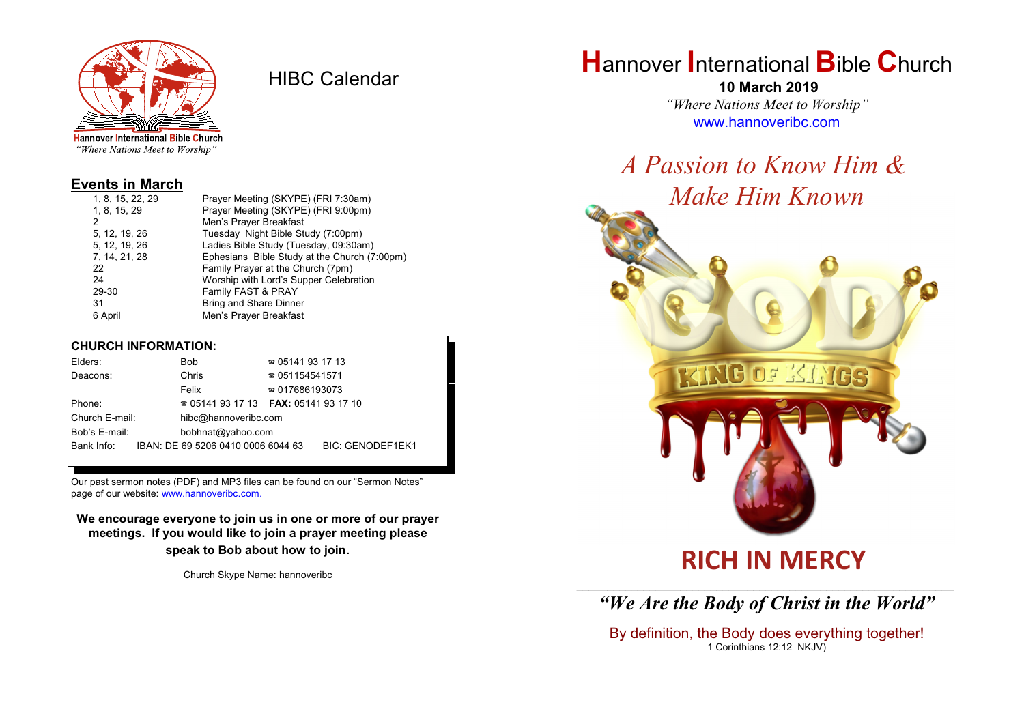

HIBC Calendar

"Where Nations Meet to Worship"

### **Events in March**

| Prayer Meeting (SKYPE) (FRI 7:30am)          |
|----------------------------------------------|
| Prayer Meeting (SKYPE) (FRI 9:00pm)          |
| Men's Prayer Breakfast                       |
| Tuesday Night Bible Study (7:00pm)           |
| Ladies Bible Study (Tuesday, 09:30am)        |
| Ephesians Bible Study at the Church (7:00pm) |
| Family Prayer at the Church (7pm)            |
| Worship with Lord's Supper Celebration       |
| Family FAST & PRAY                           |
| <b>Bring and Share Dinner</b>                |
| Men's Prayer Breakfast                       |
|                                              |

#### **CHURCH INFORMATION:**

| Elders:                            |  | Bob                                                 | $\approx 05141931713$  |                         |
|------------------------------------|--|-----------------------------------------------------|------------------------|-------------------------|
| Deacons:                           |  | Chris                                               | $\approx 051154541571$ |                         |
|                                    |  | Felix                                               | $\approx 017686193073$ |                         |
| Phone:                             |  | <b>2</b> 05141 93 17 13 <b>FAX</b> : 05141 93 17 10 |                        |                         |
| Church E-mail:                     |  | hibc@hannoveribc.com                                |                        |                         |
| Bob's E-mail:<br>bobhnat@yahoo.com |  |                                                     |                        |                         |
| Bank Info:                         |  | IBAN: DE 69 5206 0410 0006 6044 63                  |                        | <b>BIC: GENODEF1EK1</b> |
|                                    |  |                                                     |                        |                         |

Our past sermon notes (PDF) and MP3 files can be found on our "Sermon Notes" page of our website: [www.hannoveribc.com.](http://www.hannoveribc.com.)

**We encourage everyone to join us in one or more of our prayer meetings. If you would like to join a prayer meeting please speak to Bob about how to join**.

Church Skype Name: hannoveribc

# **H**annover **I**nternational **B**ible **C**hurch

 **10 March 2019** *"Where Nations Meet to Worship"* [www.hannoveribc.com](http://www.hannoveribc.com)

# *A Passion to Know Him & Make Him Known*



# **RICH IN MERCY**

### \_\_\_\_\_\_\_\_\_\_\_\_\_\_\_\_\_\_\_\_\_\_\_\_\_\_\_\_\_\_\_\_\_\_\_\_\_\_\_\_\_\_\_\_\_\_\_\_\_\_\_\_\_\_\_\_\_\_\_\_\_\_ *"We Are the Body of Christ in the World"*

By definition, the Body does everything together! 1 Corinthians 12:12 NKJV)